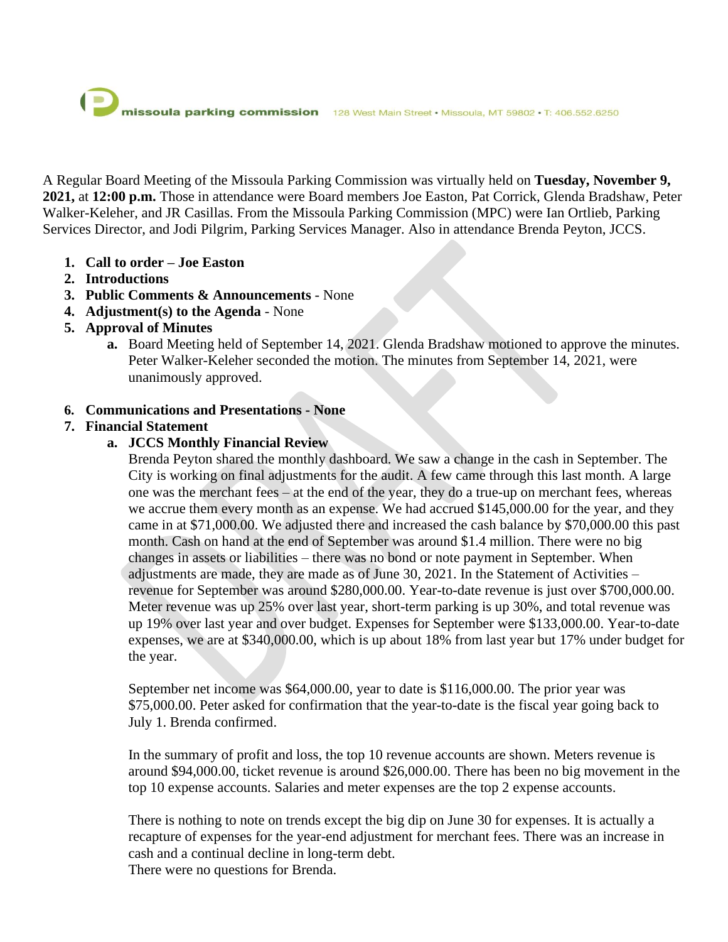A Regular Board Meeting of the Missoula Parking Commission was virtually held on **Tuesday, November 9, 2021,** at **12:00 p.m.** Those in attendance were Board members Joe Easton, Pat Corrick, Glenda Bradshaw, Peter Walker-Keleher, and JR Casillas. From the Missoula Parking Commission (MPC) were Ian Ortlieb, Parking Services Director, and Jodi Pilgrim, Parking Services Manager. Also in attendance Brenda Peyton, JCCS.

- **1. Call to order – Joe Easton**
- **2. Introductions**
- **3. Public Comments & Announcements** None
- **4. Adjustment(s) to the Agenda** None
- **5. Approval of Minutes**
	- **a.** Board Meeting held of September 14, 2021. Glenda Bradshaw motioned to approve the minutes. Peter Walker-Keleher seconded the motion. The minutes from September 14, 2021, were unanimously approved.
- **6. Communications and Presentations - None**

# **7. Financial Statement**

# **a. JCCS Monthly Financial Review**

Brenda Peyton shared the monthly dashboard. We saw a change in the cash in September. The City is working on final adjustments for the audit. A few came through this last month. A large one was the merchant fees – at the end of the year, they do a true-up on merchant fees, whereas we accrue them every month as an expense. We had accrued \$145,000.00 for the year, and they came in at \$71,000.00. We adjusted there and increased the cash balance by \$70,000.00 this past month. Cash on hand at the end of September was around \$1.4 million. There were no big changes in assets or liabilities – there was no bond or note payment in September. When adjustments are made, they are made as of June 30, 2021. In the Statement of Activities – revenue for September was around \$280,000.00. Year-to-date revenue is just over \$700,000.00. Meter revenue was up 25% over last year, short-term parking is up 30%, and total revenue was up 19% over last year and over budget. Expenses for September were \$133,000.00. Year-to-date expenses, we are at \$340,000.00, which is up about 18% from last year but 17% under budget for the year.

September net income was \$64,000.00, year to date is \$116,000.00. The prior year was \$75,000.00. Peter asked for confirmation that the year-to-date is the fiscal year going back to July 1. Brenda confirmed.

In the summary of profit and loss, the top 10 revenue accounts are shown. Meters revenue is around \$94,000.00, ticket revenue is around \$26,000.00. There has been no big movement in the top 10 expense accounts. Salaries and meter expenses are the top 2 expense accounts.

There is nothing to note on trends except the big dip on June 30 for expenses. It is actually a recapture of expenses for the year-end adjustment for merchant fees. There was an increase in cash and a continual decline in long-term debt. There were no questions for Brenda.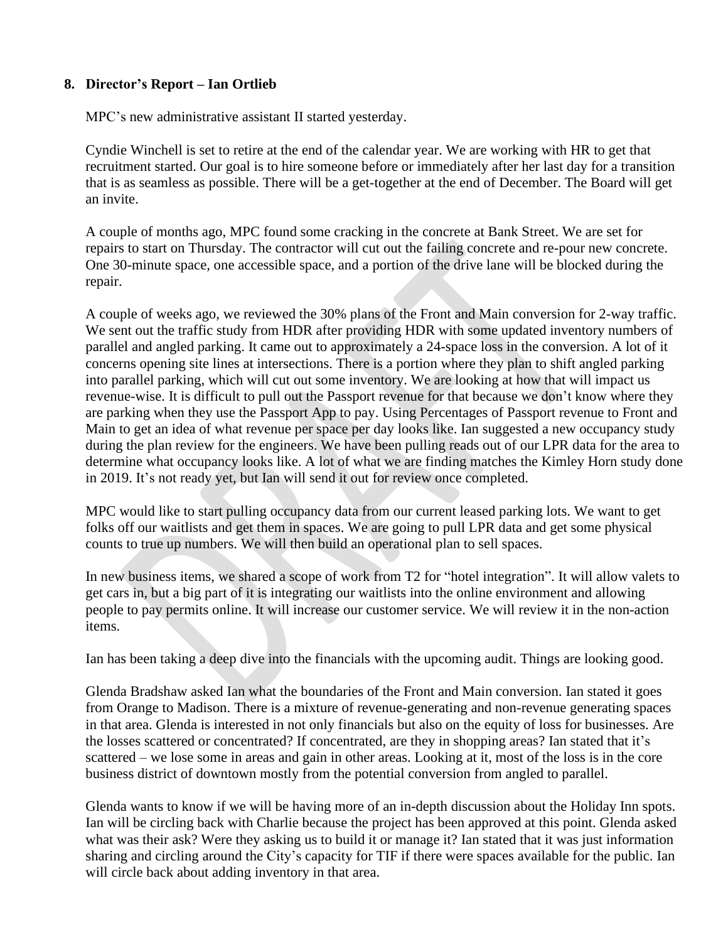## **8. Director's Report – Ian Ortlieb**

MPC's new administrative assistant II started yesterday.

Cyndie Winchell is set to retire at the end of the calendar year. We are working with HR to get that recruitment started. Our goal is to hire someone before or immediately after her last day for a transition that is as seamless as possible. There will be a get-together at the end of December. The Board will get an invite.

A couple of months ago, MPC found some cracking in the concrete at Bank Street. We are set for repairs to start on Thursday. The contractor will cut out the failing concrete and re-pour new concrete. One 30-minute space, one accessible space, and a portion of the drive lane will be blocked during the repair.

A couple of weeks ago, we reviewed the 30% plans of the Front and Main conversion for 2-way traffic. We sent out the traffic study from HDR after providing HDR with some updated inventory numbers of parallel and angled parking. It came out to approximately a 24-space loss in the conversion. A lot of it concerns opening site lines at intersections. There is a portion where they plan to shift angled parking into parallel parking, which will cut out some inventory. We are looking at how that will impact us revenue-wise. It is difficult to pull out the Passport revenue for that because we don't know where they are parking when they use the Passport App to pay. Using Percentages of Passport revenue to Front and Main to get an idea of what revenue per space per day looks like. Ian suggested a new occupancy study during the plan review for the engineers. We have been pulling reads out of our LPR data for the area to determine what occupancy looks like. A lot of what we are finding matches the Kimley Horn study done in 2019. It's not ready yet, but Ian will send it out for review once completed.

MPC would like to start pulling occupancy data from our current leased parking lots. We want to get folks off our waitlists and get them in spaces. We are going to pull LPR data and get some physical counts to true up numbers. We will then build an operational plan to sell spaces.

In new business items, we shared a scope of work from T2 for "hotel integration". It will allow valets to get cars in, but a big part of it is integrating our waitlists into the online environment and allowing people to pay permits online. It will increase our customer service. We will review it in the non-action items.

Ian has been taking a deep dive into the financials with the upcoming audit. Things are looking good.

Glenda Bradshaw asked Ian what the boundaries of the Front and Main conversion. Ian stated it goes from Orange to Madison. There is a mixture of revenue-generating and non-revenue generating spaces in that area. Glenda is interested in not only financials but also on the equity of loss for businesses. Are the losses scattered or concentrated? If concentrated, are they in shopping areas? Ian stated that it's scattered – we lose some in areas and gain in other areas. Looking at it, most of the loss is in the core business district of downtown mostly from the potential conversion from angled to parallel.

Glenda wants to know if we will be having more of an in-depth discussion about the Holiday Inn spots. Ian will be circling back with Charlie because the project has been approved at this point. Glenda asked what was their ask? Were they asking us to build it or manage it? Ian stated that it was just information sharing and circling around the City's capacity for TIF if there were spaces available for the public. Ian will circle back about adding inventory in that area.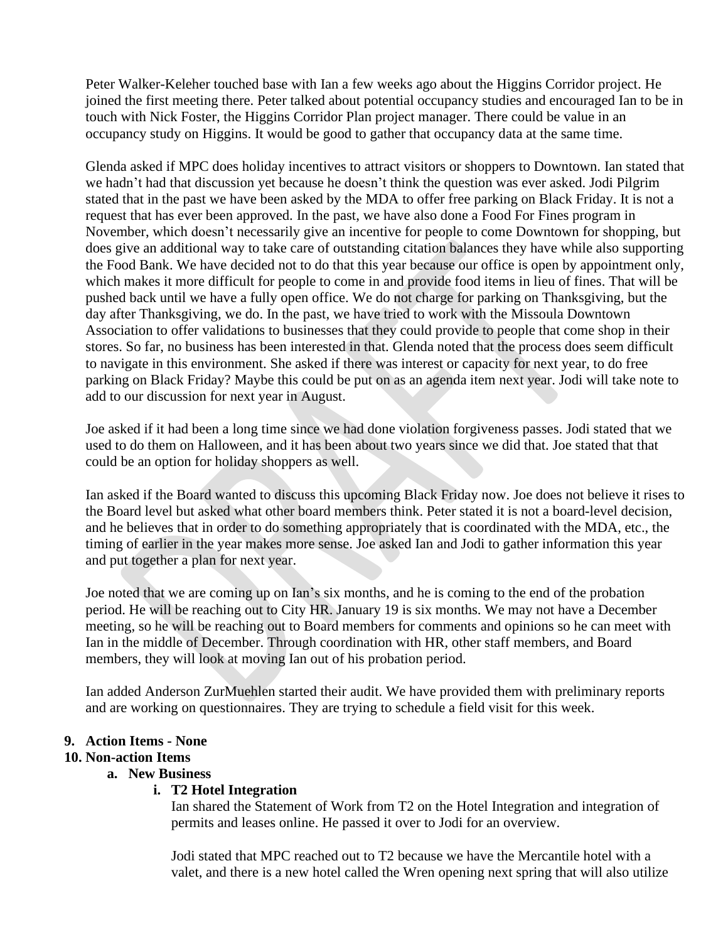Peter Walker-Keleher touched base with Ian a few weeks ago about the Higgins Corridor project. He joined the first meeting there. Peter talked about potential occupancy studies and encouraged Ian to be in touch with Nick Foster, the Higgins Corridor Plan project manager. There could be value in an occupancy study on Higgins. It would be good to gather that occupancy data at the same time.

Glenda asked if MPC does holiday incentives to attract visitors or shoppers to Downtown. Ian stated that we hadn't had that discussion yet because he doesn't think the question was ever asked. Jodi Pilgrim stated that in the past we have been asked by the MDA to offer free parking on Black Friday. It is not a request that has ever been approved. In the past, we have also done a Food For Fines program in November, which doesn't necessarily give an incentive for people to come Downtown for shopping, but does give an additional way to take care of outstanding citation balances they have while also supporting the Food Bank. We have decided not to do that this year because our office is open by appointment only, which makes it more difficult for people to come in and provide food items in lieu of fines. That will be pushed back until we have a fully open office. We do not charge for parking on Thanksgiving, but the day after Thanksgiving, we do. In the past, we have tried to work with the Missoula Downtown Association to offer validations to businesses that they could provide to people that come shop in their stores. So far, no business has been interested in that. Glenda noted that the process does seem difficult to navigate in this environment. She asked if there was interest or capacity for next year, to do free parking on Black Friday? Maybe this could be put on as an agenda item next year. Jodi will take note to add to our discussion for next year in August.

Joe asked if it had been a long time since we had done violation forgiveness passes. Jodi stated that we used to do them on Halloween, and it has been about two years since we did that. Joe stated that that could be an option for holiday shoppers as well.

Ian asked if the Board wanted to discuss this upcoming Black Friday now. Joe does not believe it rises to the Board level but asked what other board members think. Peter stated it is not a board-level decision, and he believes that in order to do something appropriately that is coordinated with the MDA, etc., the timing of earlier in the year makes more sense. Joe asked Ian and Jodi to gather information this year and put together a plan for next year.

Joe noted that we are coming up on Ian's six months, and he is coming to the end of the probation period. He will be reaching out to City HR. January 19 is six months. We may not have a December meeting, so he will be reaching out to Board members for comments and opinions so he can meet with Ian in the middle of December. Through coordination with HR, other staff members, and Board members, they will look at moving Ian out of his probation period.

Ian added Anderson ZurMuehlen started their audit. We have provided them with preliminary reports and are working on questionnaires. They are trying to schedule a field visit for this week.

## **9. Action Items - None**

## **10. Non-action Items**

## **a. New Business**

## **i. T2 Hotel Integration**

Ian shared the Statement of Work from T2 on the Hotel Integration and integration of permits and leases online. He passed it over to Jodi for an overview.

Jodi stated that MPC reached out to T2 because we have the Mercantile hotel with a valet, and there is a new hotel called the Wren opening next spring that will also utilize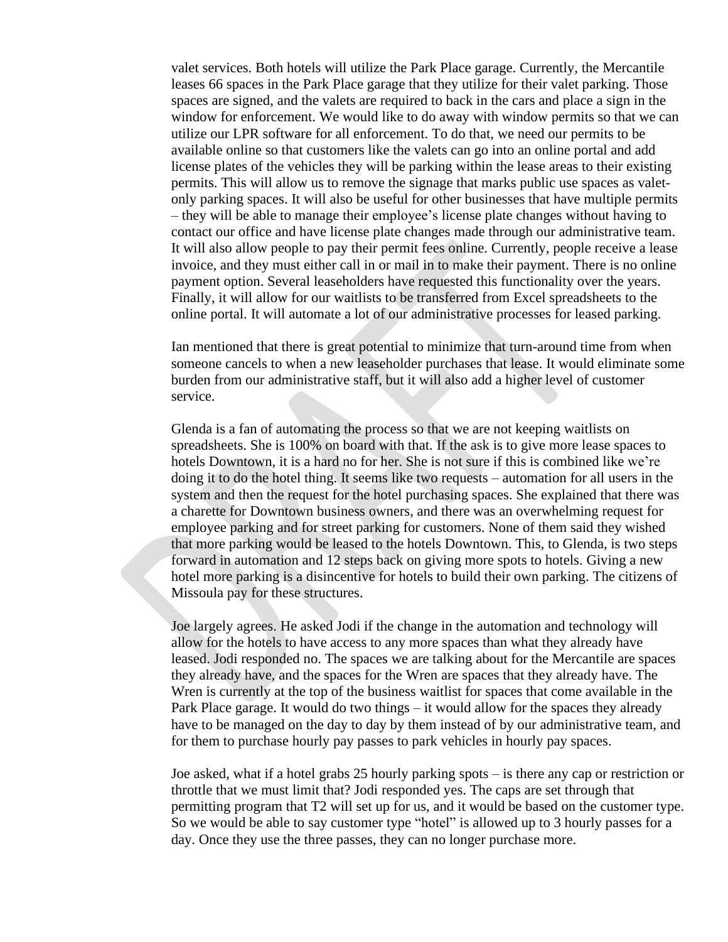valet services. Both hotels will utilize the Park Place garage. Currently, the Mercantile leases 66 spaces in the Park Place garage that they utilize for their valet parking. Those spaces are signed, and the valets are required to back in the cars and place a sign in the window for enforcement. We would like to do away with window permits so that we can utilize our LPR software for all enforcement. To do that, we need our permits to be available online so that customers like the valets can go into an online portal and add license plates of the vehicles they will be parking within the lease areas to their existing permits. This will allow us to remove the signage that marks public use spaces as valetonly parking spaces. It will also be useful for other businesses that have multiple permits – they will be able to manage their employee's license plate changes without having to contact our office and have license plate changes made through our administrative team. It will also allow people to pay their permit fees online. Currently, people receive a lease invoice, and they must either call in or mail in to make their payment. There is no online payment option. Several leaseholders have requested this functionality over the years. Finally, it will allow for our waitlists to be transferred from Excel spreadsheets to the online portal. It will automate a lot of our administrative processes for leased parking.

Ian mentioned that there is great potential to minimize that turn-around time from when someone cancels to when a new leaseholder purchases that lease. It would eliminate some burden from our administrative staff, but it will also add a higher level of customer service.

Glenda is a fan of automating the process so that we are not keeping waitlists on spreadsheets. She is 100% on board with that. If the ask is to give more lease spaces to hotels Downtown, it is a hard no for her. She is not sure if this is combined like we're doing it to do the hotel thing. It seems like two requests – automation for all users in the system and then the request for the hotel purchasing spaces. She explained that there was a charette for Downtown business owners, and there was an overwhelming request for employee parking and for street parking for customers. None of them said they wished that more parking would be leased to the hotels Downtown. This, to Glenda, is two steps forward in automation and 12 steps back on giving more spots to hotels. Giving a new hotel more parking is a disincentive for hotels to build their own parking. The citizens of Missoula pay for these structures.

Joe largely agrees. He asked Jodi if the change in the automation and technology will allow for the hotels to have access to any more spaces than what they already have leased. Jodi responded no. The spaces we are talking about for the Mercantile are spaces they already have, and the spaces for the Wren are spaces that they already have. The Wren is currently at the top of the business waitlist for spaces that come available in the Park Place garage. It would do two things – it would allow for the spaces they already have to be managed on the day to day by them instead of by our administrative team, and for them to purchase hourly pay passes to park vehicles in hourly pay spaces.

Joe asked, what if a hotel grabs 25 hourly parking spots – is there any cap or restriction or throttle that we must limit that? Jodi responded yes. The caps are set through that permitting program that T2 will set up for us, and it would be based on the customer type. So we would be able to say customer type "hotel" is allowed up to 3 hourly passes for a day. Once they use the three passes, they can no longer purchase more.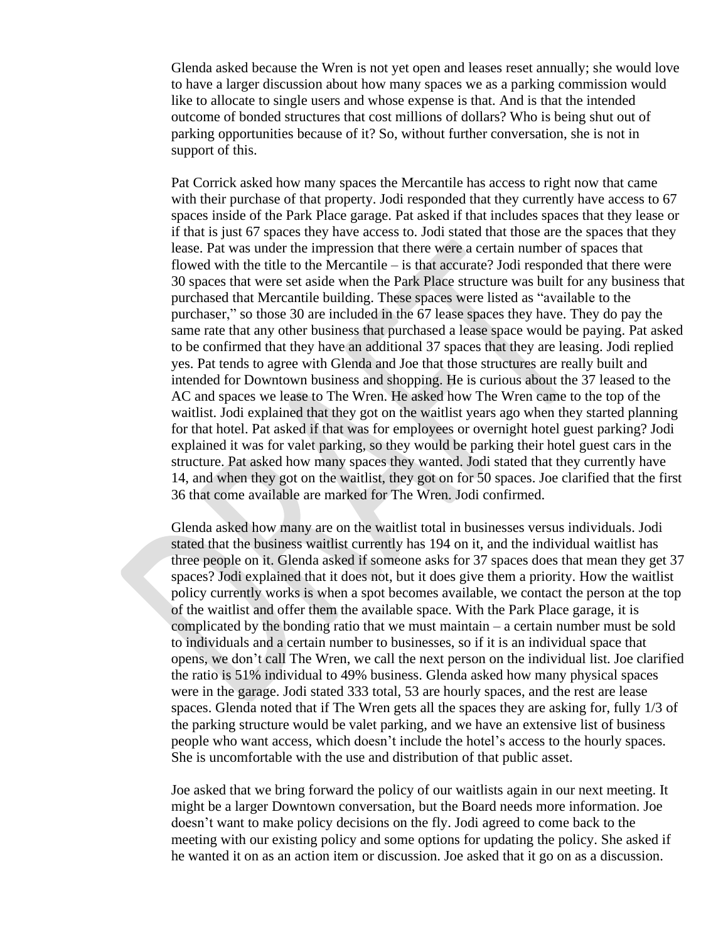Glenda asked because the Wren is not yet open and leases reset annually; she would love to have a larger discussion about how many spaces we as a parking commission would like to allocate to single users and whose expense is that. And is that the intended outcome of bonded structures that cost millions of dollars? Who is being shut out of parking opportunities because of it? So, without further conversation, she is not in support of this.

Pat Corrick asked how many spaces the Mercantile has access to right now that came with their purchase of that property. Jodi responded that they currently have access to 67 spaces inside of the Park Place garage. Pat asked if that includes spaces that they lease or if that is just 67 spaces they have access to. Jodi stated that those are the spaces that they lease. Pat was under the impression that there were a certain number of spaces that flowed with the title to the Mercantile – is that accurate? Jodi responded that there were 30 spaces that were set aside when the Park Place structure was built for any business that purchased that Mercantile building. These spaces were listed as "available to the purchaser," so those 30 are included in the 67 lease spaces they have. They do pay the same rate that any other business that purchased a lease space would be paying. Pat asked to be confirmed that they have an additional 37 spaces that they are leasing. Jodi replied yes. Pat tends to agree with Glenda and Joe that those structures are really built and intended for Downtown business and shopping. He is curious about the 37 leased to the AC and spaces we lease to The Wren. He asked how The Wren came to the top of the waitlist. Jodi explained that they got on the waitlist years ago when they started planning for that hotel. Pat asked if that was for employees or overnight hotel guest parking? Jodi explained it was for valet parking, so they would be parking their hotel guest cars in the structure. Pat asked how many spaces they wanted. Jodi stated that they currently have 14, and when they got on the waitlist, they got on for 50 spaces. Joe clarified that the first 36 that come available are marked for The Wren. Jodi confirmed.

Glenda asked how many are on the waitlist total in businesses versus individuals. Jodi stated that the business waitlist currently has 194 on it, and the individual waitlist has three people on it. Glenda asked if someone asks for 37 spaces does that mean they get 37 spaces? Jodi explained that it does not, but it does give them a priority. How the waitlist policy currently works is when a spot becomes available, we contact the person at the top of the waitlist and offer them the available space. With the Park Place garage, it is complicated by the bonding ratio that we must maintain – a certain number must be sold to individuals and a certain number to businesses, so if it is an individual space that opens, we don't call The Wren, we call the next person on the individual list. Joe clarified the ratio is 51% individual to 49% business. Glenda asked how many physical spaces were in the garage. Jodi stated 333 total, 53 are hourly spaces, and the rest are lease spaces. Glenda noted that if The Wren gets all the spaces they are asking for, fully 1/3 of the parking structure would be valet parking, and we have an extensive list of business people who want access, which doesn't include the hotel's access to the hourly spaces. She is uncomfortable with the use and distribution of that public asset.

Joe asked that we bring forward the policy of our waitlists again in our next meeting. It might be a larger Downtown conversation, but the Board needs more information. Joe doesn't want to make policy decisions on the fly. Jodi agreed to come back to the meeting with our existing policy and some options for updating the policy. She asked if he wanted it on as an action item or discussion. Joe asked that it go on as a discussion.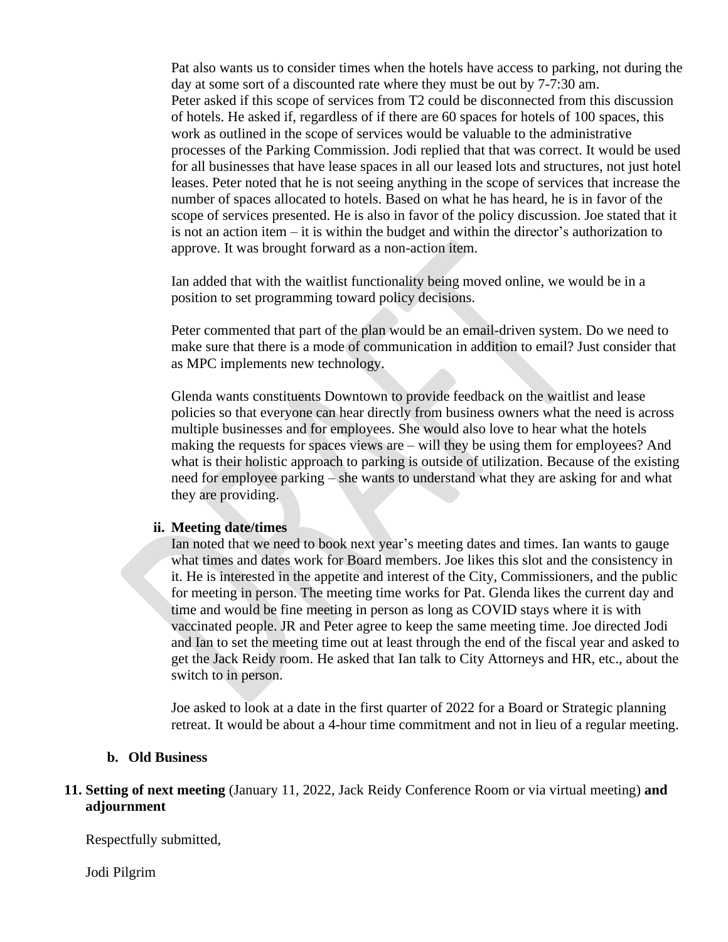Pat also wants us to consider times when the hotels have access to parking, not during the day at some sort of a discounted rate where they must be out by 7-7:30 am. Peter asked if this scope of services from T2 could be disconnected from this discussion of hotels. He asked if, regardless of if there are 60 spaces for hotels of 100 spaces, this work as outlined in the scope of services would be valuable to the administrative processes of the Parking Commission. Jodi replied that that was correct. It would be used for all businesses that have lease spaces in all our leased lots and structures, not just hotel leases. Peter noted that he is not seeing anything in the scope of services that increase the number of spaces allocated to hotels. Based on what he has heard, he is in favor of the scope of services presented. He is also in favor of the policy discussion. Joe stated that it is not an action item – it is within the budget and within the director's authorization to approve. It was brought forward as a non-action item.

Ian added that with the waitlist functionality being moved online, we would be in a position to set programming toward policy decisions.

Peter commented that part of the plan would be an email-driven system. Do we need to make sure that there is a mode of communication in addition to email? Just consider that as MPC implements new technology.

Glenda wants constituents Downtown to provide feedback on the waitlist and lease policies so that everyone can hear directly from business owners what the need is across multiple businesses and for employees. She would also love to hear what the hotels making the requests for spaces views are – will they be using them for employees? And what is their holistic approach to parking is outside of utilization. Because of the existing need for employee parking – she wants to understand what they are asking for and what they are providing.

#### **ii. Meeting date/times**

Ian noted that we need to book next year's meeting dates and times. Ian wants to gauge what times and dates work for Board members. Joe likes this slot and the consistency in it. He is interested in the appetite and interest of the City, Commissioners, and the public for meeting in person. The meeting time works for Pat. Glenda likes the current day and time and would be fine meeting in person as long as COVID stays where it is with vaccinated people. JR and Peter agree to keep the same meeting time. Joe directed Jodi and Ian to set the meeting time out at least through the end of the fiscal year and asked to get the Jack Reidy room. He asked that Ian talk to City Attorneys and HR, etc., about the switch to in person.

Joe asked to look at a date in the first quarter of 2022 for a Board or Strategic planning retreat. It would be about a 4-hour time commitment and not in lieu of a regular meeting.

#### **b. Old Business**

#### **11. Setting of next meeting** (January 11, 2022, Jack Reidy Conference Room or via virtual meeting) **and adjournment**

Respectfully submitted,

Jodi Pilgrim